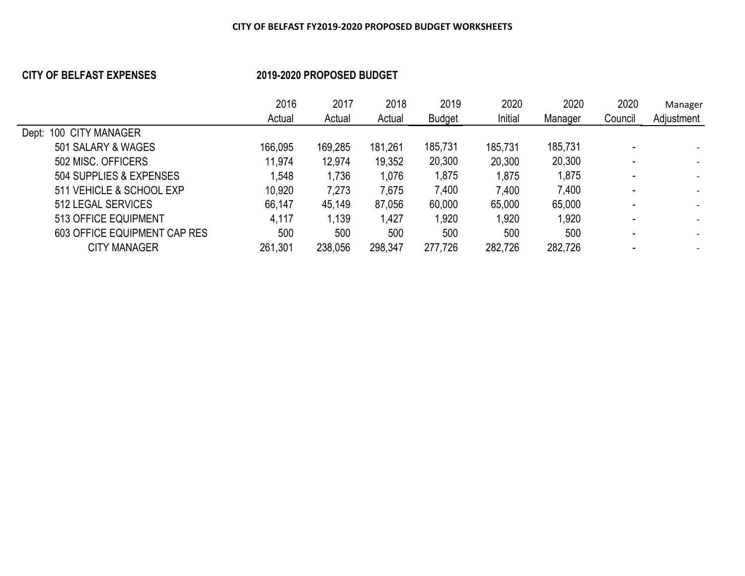## **CITY OF BELFAST EXPENSES 2019-2020 PROPOSED BUDGET**

|                                     | 2016    | 2017    | 2018    | 2019          | 2020    | 2020    | 2020    | Manager    |
|-------------------------------------|---------|---------|---------|---------------|---------|---------|---------|------------|
|                                     | Actual  | Actual  | Actual  | <b>Budget</b> | Initial | Manager | Council | Adjustment |
| <b>CITY MANAGER</b><br>100<br>Dept: |         |         |         |               |         |         |         |            |
| 501 SALARY & WAGES                  | 166,095 | 169,285 | 181,261 | 185,731       | 185,731 | 185,731 |         |            |
| 502 MISC, OFFICERS                  | 11,974  | 12,974  | 19,352  | 20,300        | 20,300  | 20,300  |         |            |
| 504 SUPPLIES & EXPENSES             | 1,548   | 1,736   | 1,076   | 1,875         | 1,875   | 1,875   |         |            |
| 511 VEHICLE & SCHOOL EXP            | 10,920  | 7,273   | 7,675   | 7,400         | 7,400   | 7,400   |         |            |
| 512 LEGAL SERVICES                  | 66,147  | 45,149  | 87,056  | 60,000        | 65,000  | 65,000  |         |            |
| 513 OFFICE EQUIPMENT                | 4,117   | 1,139   | 1,427   | 1,920         | 1,920   | 1,920   |         |            |
| 603 OFFICE EQUIPMENT CAP RES        | 500     | 500     | 500     | 500           | 500     | 500     |         |            |
| <b>CITY MANAGER</b>                 | 261,301 | 238,056 | 298,347 | 277,726       | 282,726 | 282,726 |         |            |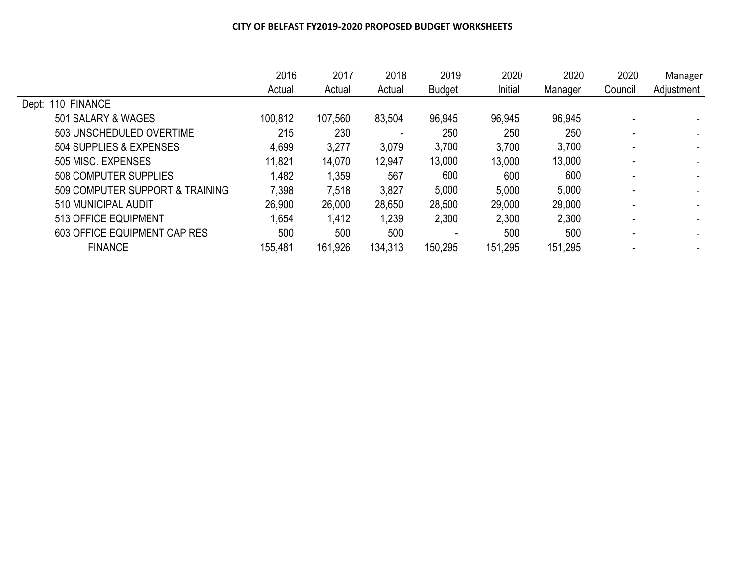|                                 | 2016    | 2017    | 2018    | 2019          | 2020    | 2020    | 2020    | Manager    |
|---------------------------------|---------|---------|---------|---------------|---------|---------|---------|------------|
|                                 | Actual  | Actual  | Actual  | <b>Budget</b> | Initial | Manager | Council | Adjustment |
| Dept: 110 FINANCE               |         |         |         |               |         |         |         |            |
| 501 SALARY & WAGES              | 100,812 | 107,560 | 83,504  | 96,945        | 96,945  | 96,945  |         |            |
| 503 UNSCHEDULED OVERTIME        | 215     | 230     |         | 250           | 250     | 250     |         |            |
| 504 SUPPLIES & EXPENSES         | 4,699   | 3,277   | 3,079   | 3,700         | 3,700   | 3,700   |         |            |
| 505 MISC, EXPENSES              | 11,821  | 14,070  | 12,947  | 13,000        | 13,000  | 13,000  |         |            |
| 508 COMPUTER SUPPLIES           | 1,482   | 1,359   | 567     | 600           | 600     | 600     |         |            |
| 509 COMPUTER SUPPORT & TRAINING | 7,398   | 7,518   | 3,827   | 5,000         | 5,000   | 5,000   |         |            |
| 510 MUNICIPAL AUDIT             | 26,900  | 26,000  | 28,650  | 28,500        | 29,000  | 29,000  |         |            |
| 513 OFFICE EQUIPMENT            | 1,654   | 1,412   | 1,239   | 2,300         | 2,300   | 2,300   |         |            |
| 603 OFFICE EQUIPMENT CAP RES    | 500     | 500     | 500     |               | 500     | 500     |         |            |
| <b>FINANCE</b>                  | 155,481 | 161,926 | 134,313 | 150,295       | 151,295 | 151,295 |         |            |
|                                 |         |         |         |               |         |         |         |            |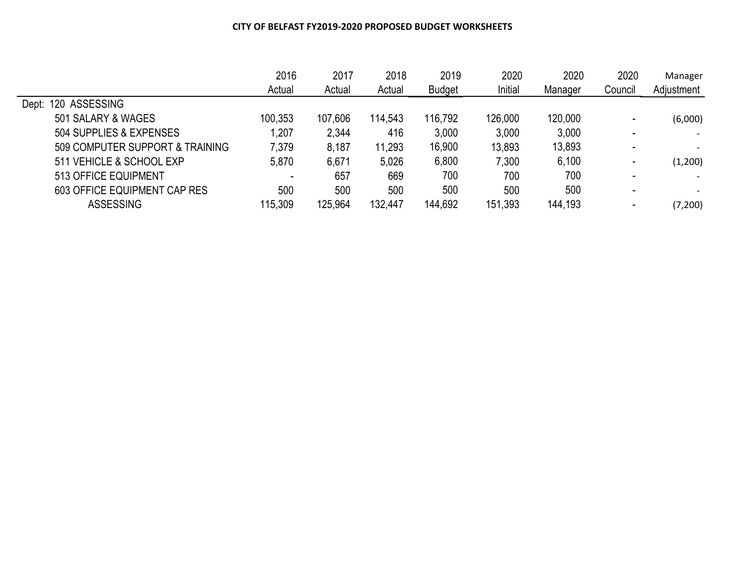|                                 | 2016    | 2017    | 2018    | 2019          | 2020    | 2020    | 2020    | Manager    |
|---------------------------------|---------|---------|---------|---------------|---------|---------|---------|------------|
|                                 | Actual  | Actual  | Actual  | <b>Budget</b> | Initial | Manager | Council | Adjustment |
| 120 ASSESSING<br>Dept:          |         |         |         |               |         |         |         |            |
| 501 SALARY & WAGES              | 100,353 | 107,606 | 114,543 | 116,792       | 126,000 | 120,000 |         | (6,000)    |
| 504 SUPPLIES & EXPENSES         | 1,207   | 2,344   | 416     | 3,000         | 3,000   | 3,000   |         |            |
| 509 COMPUTER SUPPORT & TRAINING | 7,379   | 8,187   | 11,293  | 16,900        | 13,893  | 13,893  |         |            |
| 511 VEHICLE & SCHOOL EXP        | 5,870   | 6,671   | 5,026   | 6,800         | 7,300   | 6,100   |         | (1,200)    |
| 513 OFFICE EQUIPMENT            |         | 657     | 669     | 700           | 700     | 700     |         |            |
| 603 OFFICE EQUIPMENT CAP RES    | 500     | 500     | 500     | 500           | 500     | 500     |         |            |
| <b>ASSESSING</b>                | 115,309 | 125,964 | 132,447 | 144,692       | 151,393 | 144,193 |         | (7,200)    |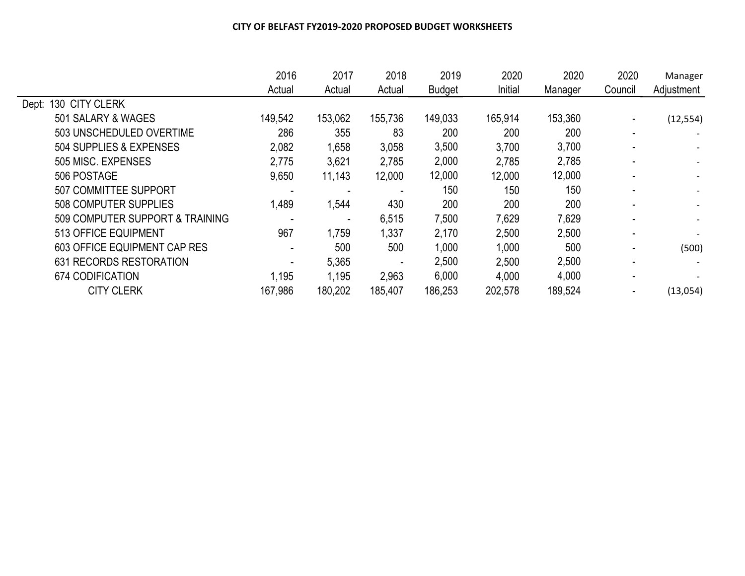|                                 | 2016    | 2017    | 2018    | 2019          | 2020    | 2020    | 2020    | Manager    |
|---------------------------------|---------|---------|---------|---------------|---------|---------|---------|------------|
|                                 | Actual  | Actual  | Actual  | <b>Budget</b> | Initial | Manager | Council | Adjustment |
| 130 CITY CLERK<br>Dept:         |         |         |         |               |         |         |         |            |
| 501 SALARY & WAGES              | 149,542 | 153,062 | 155,736 | 149,033       | 165,914 | 153,360 |         | (12, 554)  |
| 503 UNSCHEDULED OVERTIME        | 286     | 355     | 83      | 200           | 200     | 200     |         |            |
| 504 SUPPLIES & EXPENSES         | 2,082   | 1,658   | 3,058   | 3,500         | 3,700   | 3,700   |         |            |
| 505 MISC. EXPENSES              | 2,775   | 3,621   | 2,785   | 2,000         | 2,785   | 2,785   |         |            |
| 506 POSTAGE                     | 9,650   | 11,143  | 12,000  | 12,000        | 12,000  | 12,000  |         |            |
| <b>507 COMMITTEE SUPPORT</b>    |         |         |         | 150           | 150     | 150     |         |            |
| <b>508 COMPUTER SUPPLIES</b>    | 1,489   | 1,544   | 430     | 200           | 200     | 200     |         |            |
| 509 COMPUTER SUPPORT & TRAINING |         |         | 6,515   | 7,500         | 7,629   | 7,629   |         |            |
| 513 OFFICE EQUIPMENT            | 967     | 1,759   | 1,337   | 2,170         | 2,500   | 2,500   |         |            |
| 603 OFFICE EQUIPMENT CAP RES    |         | 500     | 500     | 1,000         | 1,000   | 500     |         | (500)      |
| 631 RECORDS RESTORATION         |         | 5,365   |         | 2,500         | 2,500   | 2,500   |         |            |
| 674 CODIFICATION                | 1,195   | 1,195   | 2,963   | 6,000         | 4,000   | 4,000   |         |            |
| <b>CITY CLERK</b>               | 167,986 | 180,202 | 185,407 | 186,253       | 202,578 | 189,524 |         | (13,054)   |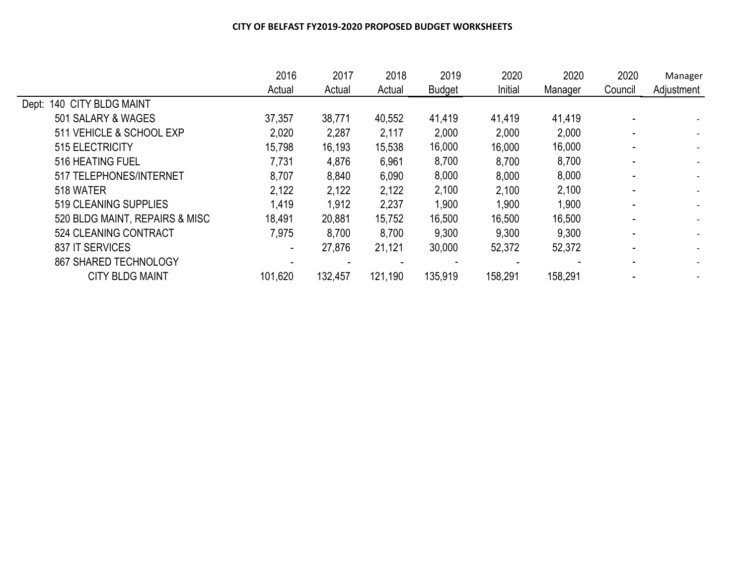|                                | 2016    | 2017    | 2018    | 2019          | 2020    | 2020    | 2020    | Manager                  |
|--------------------------------|---------|---------|---------|---------------|---------|---------|---------|--------------------------|
|                                | Actual  | Actual  | Actual  | <b>Budget</b> | Initial | Manager | Council | Adjustment               |
| Dept: 140 CITY BLDG MAINT      |         |         |         |               |         |         |         |                          |
| 501 SALARY & WAGES             | 37,357  | 38,771  | 40,552  | 41,419        | 41,419  | 41,419  |         |                          |
| 511 VEHICLE & SCHOOL EXP       | 2,020   | 2,287   | 2,117   | 2,000         | 2,000   | 2,000   |         |                          |
| 515 ELECTRICITY                | 15,798  | 16,193  | 15,538  | 16,000        | 16,000  | 16,000  |         |                          |
| 516 HEATING FUEL               | 7,731   | 4,876   | 6,961   | 8,700         | 8,700   | 8,700   |         |                          |
| 517 TELEPHONES/INTERNET        | 8,707   | 8,840   | 6,090   | 8,000         | 8,000   | 8,000   |         | $\overline{\phantom{0}}$ |
| 518 WATER                      | 2,122   | 2,122   | 2,122   | 2,100         | 2,100   | 2,100   |         |                          |
| 519 CLEANING SUPPLIES          | 1,419   | 1,912   | 2,237   | 1,900         | 1,900   | 1,900   |         | $\overline{\phantom{0}}$ |
| 520 BLDG MAINT, REPAIRS & MISC | 18,491  | 20,881  | 15,752  | 16,500        | 16,500  | 16,500  |         |                          |
| 524 CLEANING CONTRACT          | 7,975   | 8,700   | 8,700   | 9,300         | 9,300   | 9,300   |         |                          |
| 837 IT SERVICES                | ۰       | 27,876  | 21,121  | 30,000        | 52,372  | 52,372  |         |                          |
| 867 SHARED TECHNOLOGY          |         |         |         |               |         |         |         |                          |
| <b>CITY BLDG MAINT</b>         | 101,620 | 132,457 | 121,190 | 135,919       | 158,291 | 158,291 |         |                          |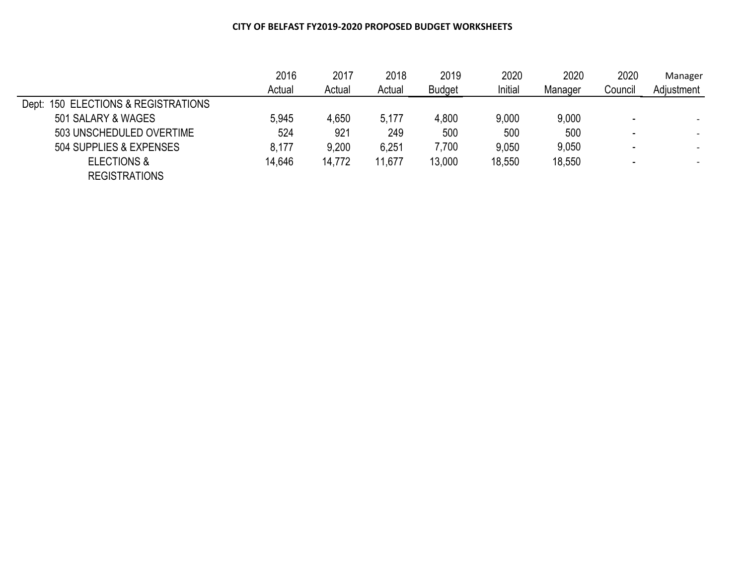|                                     | 2016   | 2017   | 2018   | 2019          | 2020    | 2020    | 2020    | Manager                  |
|-------------------------------------|--------|--------|--------|---------------|---------|---------|---------|--------------------------|
|                                     | Actual | Actual | Actual | <b>Budget</b> | Initial | Manager | Council | Adjustment               |
| Dept: 150 ELECTIONS & REGISTRATIONS |        |        |        |               |         |         |         |                          |
| 501 SALARY & WAGES                  | 5,945  | 4,650  | 5,177  | 4,800         | 9,000   | 9,000   |         | $\overline{\phantom{0}}$ |
| 503 UNSCHEDULED OVERTIME            | 524    | 921    | 249    | 500           | 500     | 500     |         |                          |
| 504 SUPPLIES & EXPENSES             | 8,177  | 9,200  | 6,251  | 7,700         | 9,050   | 9,050   |         |                          |
| <b>ELECTIONS &amp;</b>              | 14,646 | 14,772 | 11,677 | 13,000        | 18,550  | 18,550  |         |                          |
| <b>REGISTRATIONS</b>                |        |        |        |               |         |         |         |                          |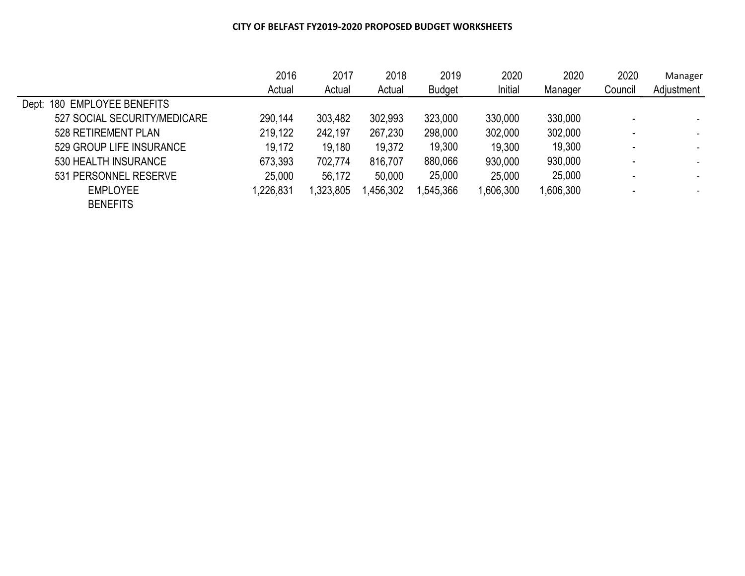|                              | 2016      | 2017      | 2018     | 2019          | 2020     | 2020      | 2020    | Manager                  |
|------------------------------|-----------|-----------|----------|---------------|----------|-----------|---------|--------------------------|
|                              | Actual    | Actual    | Actual   | <b>Budget</b> | Initial  | Manager   | Council | Adjustment               |
| Dept: 180 EMPLOYEE BENEFITS  |           |           |          |               |          |           |         |                          |
| 527 SOCIAL SECURITY/MEDICARE | 290,144   | 303,482   | 302,993  | 323,000       | 330,000  | 330,000   |         | $\overline{\phantom{a}}$ |
| 528 RETIREMENT PLAN          | 219,122   | 242,197   | 267,230  | 298,000       | 302,000  | 302,000   |         |                          |
| 529 GROUP LIFE INSURANCE     | 19,172    | 19,180    | 19,372   | 19,300        | 19,300   | 19,300    | -       |                          |
| 530 HEALTH INSURANCE         | 673,393   | 702,774   | 816,707  | 880,066       | 930,000  | 930,000   |         | $\overline{\phantom{a}}$ |
| 531 PERSONNEL RESERVE        | 25,000    | 56,172    | 50,000   | 25,000        | 25,000   | 25,000    |         | $\overline{\phantom{a}}$ |
| <b>EMPLOYEE</b>              | 1,226,831 | 1,323,805 | ,456,302 | ,545,366      | ,606,300 | 1,606,300 |         |                          |
| <b>BENEFITS</b>              |           |           |          |               |          |           |         |                          |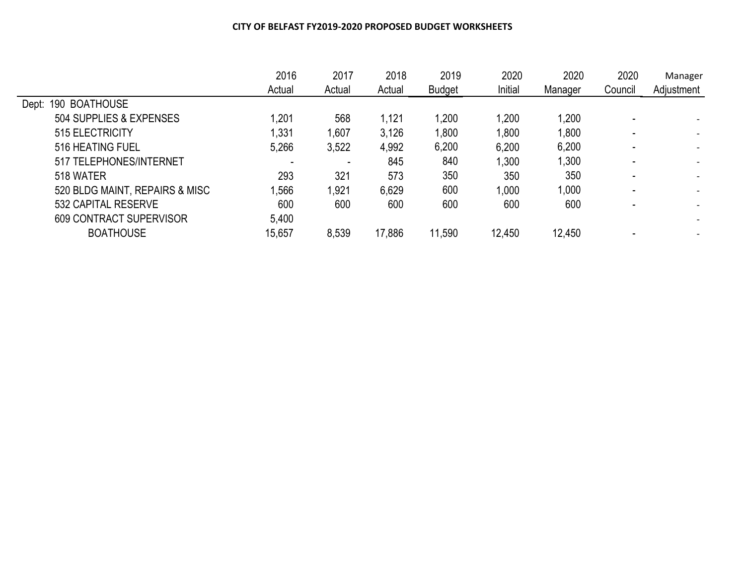|                                | 2016   | 2017   | 2018   | 2019          | 2020    | 2020    | 2020    | Manager                  |
|--------------------------------|--------|--------|--------|---------------|---------|---------|---------|--------------------------|
|                                | Actual | Actual | Actual | <b>Budget</b> | Initial | Manager | Council | Adjustment               |
| 190 BOATHOUSE<br>Dept:         |        |        |        |               |         |         |         |                          |
| 504 SUPPLIES & EXPENSES        | 1,201  | 568    | 1,121  | 1,200         | 1,200   | 1,200   |         |                          |
| 515 ELECTRICITY                | 1,331  | 1,607  | 3,126  | 1,800         | 1,800   | 1,800   |         | $\overline{\phantom{a}}$ |
| 516 HEATING FUEL               | 5,266  | 3,522  | 4,992  | 6,200         | 6,200   | 6,200   |         |                          |
| 517 TELEPHONES/INTERNET        |        |        | 845    | 840           | 1,300   | 1,300   |         |                          |
| 518 WATER                      | 293    | 321    | 573    | 350           | 350     | 350     |         |                          |
| 520 BLDG MAINT, REPAIRS & MISC | 1,566  | 1,921  | 6,629  | 600           | 1.000   | 1,000   |         | $\overline{\phantom{a}}$ |
| 532 CAPITAL RESERVE            | 600    | 600    | 600    | 600           | 600     | 600     |         |                          |
| 609 CONTRACT SUPERVISOR        | 5,400  |        |        |               |         |         |         |                          |
| <b>BOATHOUSE</b>               | 15,657 | 8,539  | 17,886 | 11,590        | 12,450  | 12,450  |         |                          |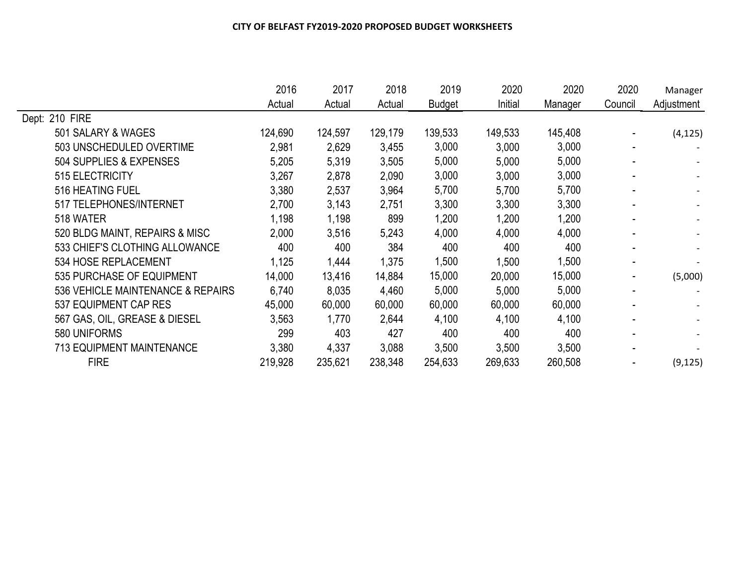|                                   | 2016    | 2017    | 2018    | 2019          | 2020    | 2020    | 2020    | Manager    |
|-----------------------------------|---------|---------|---------|---------------|---------|---------|---------|------------|
|                                   | Actual  | Actual  | Actual  | <b>Budget</b> | Initial | Manager | Council | Adjustment |
| Dept: 210 FIRE                    |         |         |         |               |         |         |         |            |
| 501 SALARY & WAGES                | 124,690 | 124,597 | 129,179 | 139,533       | 149,533 | 145,408 |         | (4, 125)   |
| 503 UNSCHEDULED OVERTIME          | 2,981   | 2,629   | 3,455   | 3,000         | 3,000   | 3,000   |         |            |
| 504 SUPPLIES & EXPENSES           | 5,205   | 5,319   | 3,505   | 5,000         | 5,000   | 5,000   |         |            |
| 515 ELECTRICITY                   | 3,267   | 2,878   | 2,090   | 3,000         | 3,000   | 3,000   |         |            |
| 516 HEATING FUEL                  | 3,380   | 2,537   | 3,964   | 5,700         | 5,700   | 5,700   |         |            |
| 517 TELEPHONES/INTERNET           | 2,700   | 3,143   | 2,751   | 3,300         | 3,300   | 3,300   |         |            |
| 518 WATER                         | 1,198   | 1,198   | 899     | 1,200         | 1,200   | 1,200   |         |            |
| 520 BLDG MAINT, REPAIRS & MISC    | 2,000   | 3,516   | 5,243   | 4,000         | 4,000   | 4,000   |         |            |
| 533 CHIEF'S CLOTHING ALLOWANCE    | 400     | 400     | 384     | 400           | 400     | 400     |         |            |
| 534 HOSE REPLACEMENT              | 1,125   | 1,444   | 1,375   | 1,500         | 1,500   | 1,500   |         |            |
| 535 PURCHASE OF EQUIPMENT         | 14,000  | 13,416  | 14,884  | 15,000        | 20,000  | 15,000  |         | (5,000)    |
| 536 VEHICLE MAINTENANCE & REPAIRS | 6,740   | 8,035   | 4,460   | 5,000         | 5,000   | 5,000   |         |            |
| 537 EQUIPMENT CAP RES             | 45,000  | 60,000  | 60,000  | 60,000        | 60,000  | 60,000  |         |            |
| 567 GAS, OIL, GREASE & DIESEL     | 3,563   | 1,770   | 2,644   | 4,100         | 4,100   | 4,100   |         |            |
| 580 UNIFORMS                      | 299     | 403     | 427     | 400           | 400     | 400     |         |            |
| <b>713 EQUIPMENT MAINTENANCE</b>  | 3,380   | 4,337   | 3,088   | 3,500         | 3,500   | 3,500   |         |            |
| <b>FIRE</b>                       | 219,928 | 235,621 | 238,348 | 254,633       | 269,633 | 260,508 |         | (9, 125)   |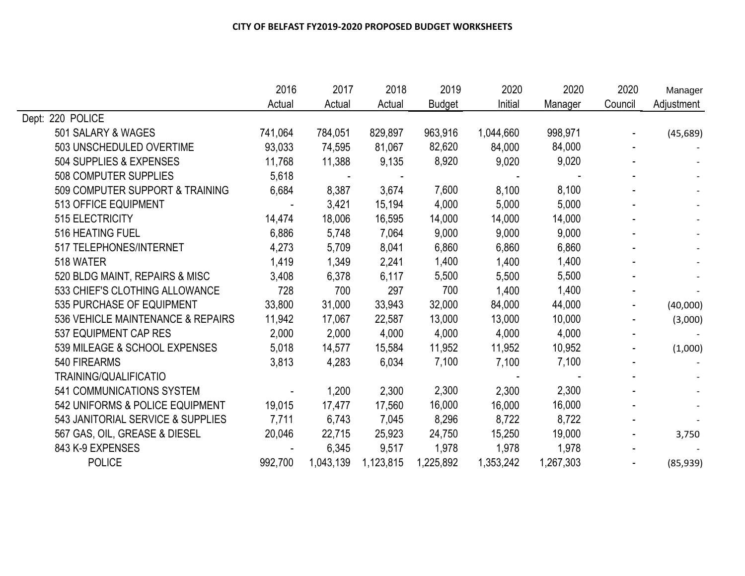|                                   | 2016    | 2017      | 2018      | 2019          | 2020      | 2020      | 2020    | Manager    |
|-----------------------------------|---------|-----------|-----------|---------------|-----------|-----------|---------|------------|
|                                   | Actual  | Actual    | Actual    | <b>Budget</b> | Initial   | Manager   | Council | Adjustment |
| Dept: 220 POLICE                  |         |           |           |               |           |           |         |            |
| 501 SALARY & WAGES                | 741,064 | 784,051   | 829,897   | 963,916       | 1,044,660 | 998,971   |         | (45, 689)  |
| 503 UNSCHEDULED OVERTIME          | 93,033  | 74,595    | 81,067    | 82,620        | 84,000    | 84,000    |         |            |
| 504 SUPPLIES & EXPENSES           | 11,768  | 11,388    | 9,135     | 8,920         | 9,020     | 9,020     |         |            |
| 508 COMPUTER SUPPLIES             | 5,618   |           |           |               |           |           |         |            |
| 509 COMPUTER SUPPORT & TRAINING   | 6,684   | 8,387     | 3,674     | 7,600         | 8,100     | 8,100     |         |            |
| 513 OFFICE EQUIPMENT              |         | 3,421     | 15,194    | 4,000         | 5,000     | 5,000     |         |            |
| 515 ELECTRICITY                   | 14,474  | 18,006    | 16,595    | 14,000        | 14,000    | 14,000    |         |            |
| 516 HEATING FUEL                  | 6,886   | 5,748     | 7,064     | 9,000         | 9,000     | 9,000     |         |            |
| 517 TELEPHONES/INTERNET           | 4,273   | 5,709     | 8,041     | 6,860         | 6,860     | 6,860     |         |            |
| 518 WATER                         | 1,419   | 1,349     | 2,241     | 1,400         | 1,400     | 1,400     |         |            |
| 520 BLDG MAINT, REPAIRS & MISC    | 3,408   | 6,378     | 6,117     | 5,500         | 5,500     | 5,500     |         |            |
| 533 CHIEF'S CLOTHING ALLOWANCE    | 728     | 700       | 297       | 700           | 1,400     | 1,400     |         |            |
| 535 PURCHASE OF EQUIPMENT         | 33,800  | 31,000    | 33,943    | 32,000        | 84,000    | 44,000    |         | (40,000)   |
| 536 VEHICLE MAINTENANCE & REPAIRS | 11,942  | 17,067    | 22,587    | 13,000        | 13,000    | 10,000    |         | (3,000)    |
| 537 EQUIPMENT CAP RES             | 2,000   | 2,000     | 4,000     | 4,000         | 4,000     | 4,000     |         |            |
| 539 MILEAGE & SCHOOL EXPENSES     | 5,018   | 14,577    | 15,584    | 11,952        | 11,952    | 10,952    |         | (1,000)    |
| 540 FIREARMS                      | 3,813   | 4,283     | 6,034     | 7,100         | 7,100     | 7,100     |         |            |
| TRAINING/QUALIFICATIO             |         |           |           |               |           |           |         |            |
| 541 COMMUNICATIONS SYSTEM         |         | 1,200     | 2,300     | 2,300         | 2,300     | 2,300     |         |            |
| 542 UNIFORMS & POLICE EQUIPMENT   | 19,015  | 17,477    | 17,560    | 16,000        | 16,000    | 16,000    |         |            |
| 543 JANITORIAL SERVICE & SUPPLIES | 7,711   | 6,743     | 7,045     | 8,296         | 8,722     | 8,722     |         |            |
| 567 GAS, OIL, GREASE & DIESEL     | 20,046  | 22,715    | 25,923    | 24,750        | 15,250    | 19,000    |         | 3,750      |
| 843 K-9 EXPENSES                  |         | 6,345     | 9,517     | 1,978         | 1,978     | 1,978     |         |            |
| <b>POLICE</b>                     | 992,700 | 1,043,139 | 1,123,815 | 1,225,892     | 1,353,242 | 1,267,303 |         | (85, 939)  |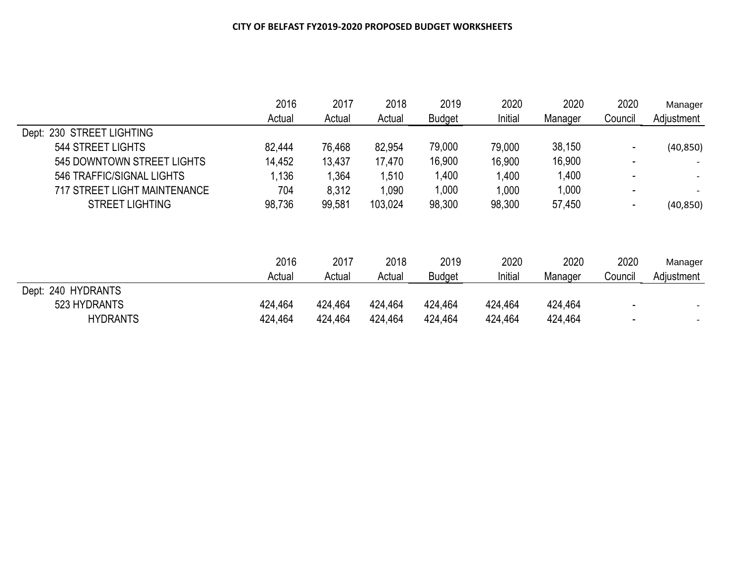|                                     | 2016    | 2017    | 2018    | 2019          | 2020    | 2020    | 2020                     | Manager    |
|-------------------------------------|---------|---------|---------|---------------|---------|---------|--------------------------|------------|
|                                     | Actual  | Actual  | Actual  | <b>Budget</b> | Initial | Manager | Council                  | Adjustment |
| Dept: 230 STREET LIGHTING           |         |         |         |               |         |         |                          |            |
| 544 STREET LIGHTS                   | 82,444  | 76,468  | 82,954  | 79,000        | 79,000  | 38,150  |                          | (40, 850)  |
| 545 DOWNTOWN STREET LIGHTS          | 14,452  | 13,437  | 17,470  | 16,900        | 16,900  | 16,900  | $\overline{\phantom{0}}$ |            |
| 546 TRAFFIC/SIGNAL LIGHTS           | 1,136   | 1,364   | 1,510   | 1,400         | 1,400   | 1,400   |                          |            |
| <b>717 STREET LIGHT MAINTENANCE</b> | 704     | 8,312   | 1,090   | 1,000         | 1,000   | 1,000   | -                        |            |
| <b>STREET LIGHTING</b>              | 98,736  | 99,581  | 103,024 | 98,300        | 98,300  | 57,450  |                          | (40, 850)  |
|                                     |         |         |         |               |         |         |                          |            |
|                                     | 2016    | 2017    | 2018    | 2019          | 2020    | 2020    | 2020                     | Manager    |
|                                     | Actual  | Actual  | Actual  | <b>Budget</b> | Initial | Manager | Council                  | Adjustment |
| Dept: 240 HYDRANTS                  |         |         |         |               |         |         |                          |            |
| 523 HYDRANTS                        | 424,464 | 424,464 | 424,464 | 424,464       | 424,464 | 424,464 |                          |            |
| <b>HYDRANTS</b>                     | 424,464 | 424,464 | 424,464 | 424,464       | 424,464 | 424,464 |                          |            |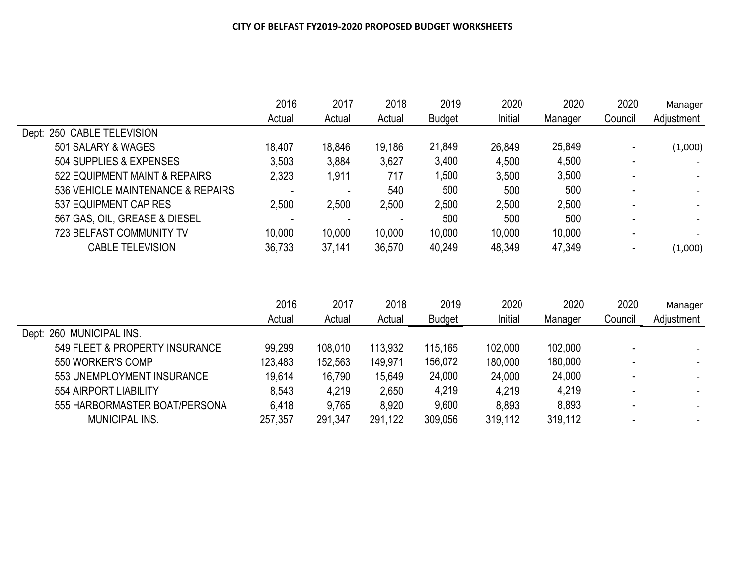| 2020<br>Manager       | 2020    | 2020    | 2019          | 2018   | 2017   | 2016   |                                   |
|-----------------------|---------|---------|---------------|--------|--------|--------|-----------------------------------|
| Adjustment<br>Council | Manager | Initial | <b>Budget</b> | Actual | Actual | Actual |                                   |
|                       |         |         |               |        |        |        | Dept: 250 CABLE TELEVISION        |
| (1,000)               | 25,849  | 26,849  | 21,849        | 19,186 | 18,846 | 18.407 | 501 SALARY & WAGES                |
|                       | 4,500   | 4,500   | 3,400         | 3,627  | 3,884  | 3,503  | 504 SUPPLIES & EXPENSES           |
|                       | 3,500   | 3,500   | ,500          | 717    | 1,911  | 2,323  | 522 EQUIPMENT MAINT & REPAIRS     |
|                       | 500     | 500     | 500           | 540    |        |        | 536 VEHICLE MAINTENANCE & REPAIRS |
|                       | 2,500   | 2,500   | 2,500         | 2,500  | 2,500  | 2,500  | 537 EQUIPMENT CAP RES             |
|                       | 500     | 500     | 500           |        |        |        | 567 GAS, OIL, GREASE & DIESEL     |
|                       | 10,000  | 10,000  | 10,000        | 10,000 | 10,000 | 10,000 | <b>723 BELFAST COMMUNITY TV</b>   |
| (1,000)               | 47,349  | 48,349  | 40,249        | 36,570 | 37,141 | 36,733 | <b>CABLE TELEVISION</b>           |
|                       |         |         |               |        |        |        |                                   |

|                                | 2016<br>Actual | 2017    | 2018    | 2019          | 2020    | 2020    | 2020    | Manager                  |  |
|--------------------------------|----------------|---------|---------|---------------|---------|---------|---------|--------------------------|--|
|                                |                | Actual  | Actual  | <b>Budget</b> | Initial | Manager | Council | Adjustment               |  |
| Dept: 260 MUNICIPAL INS.       |                |         |         |               |         |         |         |                          |  |
| 549 FLEET & PROPERTY INSURANCE | 99,299         | 108,010 | 113,932 | 115,165       | 102,000 | 102,000 |         |                          |  |
| 550 WORKER'S COMP              | 123,483        | 152,563 | 149,971 | 156,072       | 180,000 | 180,000 |         |                          |  |
| 553 UNEMPLOYMENT INSURANCE     | 19,614         | 16,790  | 15,649  | 24,000        | 24,000  | 24,000  |         | $\overline{\phantom{0}}$ |  |
| 554 AIRPORT LIABILITY          | 8,543          | 4,219   | 2,650   | 4,219         | 4,219   | 4,219   |         | $\overline{\phantom{0}}$ |  |
| 555 HARBORMASTER BOAT/PERSONA  | 6,418          | 9,765   | 8,920   | 9,600         | 8,893   | 8,893   |         |                          |  |
| MUNICIPAL INS.                 | 257,357        | 291,347 | 291,122 | 309,056       | 319,112 | 319,112 |         |                          |  |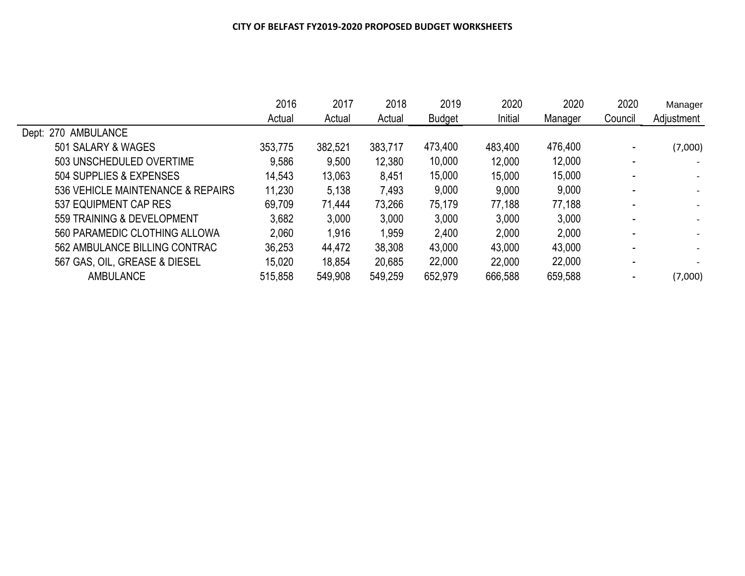|                                   | 2016    | 2017    | 2018    | 2019          | 2020    | 2020    | 2020    | Manager    |
|-----------------------------------|---------|---------|---------|---------------|---------|---------|---------|------------|
|                                   | Actual  | Actual  | Actual  | <b>Budget</b> | Initial | Manager | Council | Adjustment |
| Dept: 270 AMBULANCE               |         |         |         |               |         |         |         |            |
| 501 SALARY & WAGES                | 353,775 | 382,521 | 383,717 | 473,400       | 483,400 | 476,400 |         | (7,000)    |
| 503 UNSCHEDULED OVERTIME          | 9,586   | 9,500   | 12,380  | 10,000        | 12,000  | 12,000  |         |            |
| 504 SUPPLIES & EXPENSES           | 14,543  | 13,063  | 8,451   | 15,000        | 15,000  | 15,000  |         |            |
| 536 VEHICLE MAINTENANCE & REPAIRS | 11,230  | 5,138   | 7,493   | 9,000         | 9,000   | 9,000   |         |            |
| 537 EQUIPMENT CAP RES             | 69,709  | 71,444  | 73,266  | 75,179        | 77,188  | 77,188  |         |            |
| 559 TRAINING & DEVELOPMENT        | 3,682   | 3,000   | 3,000   | 3,000         | 3,000   | 3,000   |         |            |
| 560 PARAMEDIC CLOTHING ALLOWA     | 2,060   | 1,916   | 1,959   | 2,400         | 2,000   | 2,000   |         |            |
| 562 AMBULANCE BILLING CONTRAC     | 36,253  | 44,472  | 38,308  | 43,000        | 43,000  | 43,000  |         |            |
| 567 GAS, OIL, GREASE & DIESEL     | 15,020  | 18,854  | 20,685  | 22,000        | 22,000  | 22,000  |         |            |
| <b>AMBULANCE</b>                  | 515,858 | 549,908 | 549,259 | 652,979       | 666,588 | 659,588 |         | (7,000)    |
|                                   |         |         |         |               |         |         |         |            |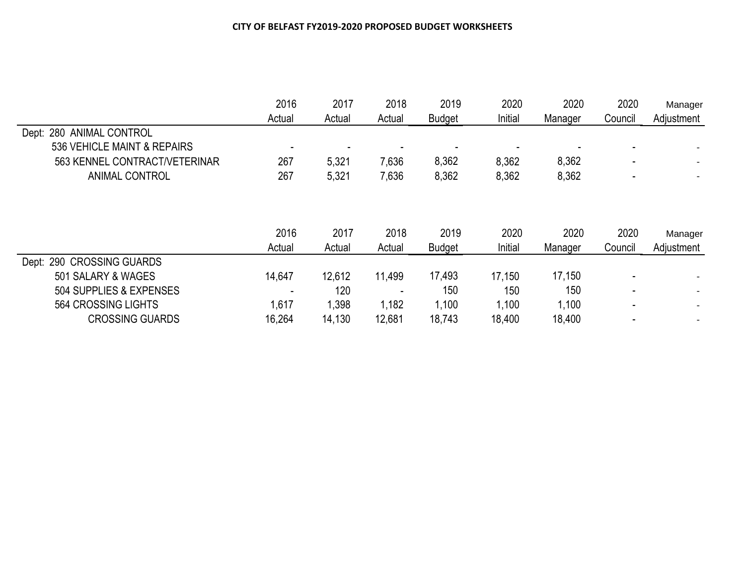|                               | 2016<br>Actual | 2017<br>Actual | 2018<br>Actual | 2019<br><b>Budget</b> | 2020<br>Initial | 2020<br>Manager | 2020<br>Council | Manager<br>Adjustment |
|-------------------------------|----------------|----------------|----------------|-----------------------|-----------------|-----------------|-----------------|-----------------------|
| Dept: 280 ANIMAL CONTROL      |                |                |                |                       |                 |                 |                 |                       |
| 536 VEHICLE MAINT & REPAIRS   |                |                |                |                       |                 |                 |                 |                       |
| 563 KENNEL CONTRACT/VETERINAR | 267            | 5,321          | 7,636          | 8,362                 | 8,362           | 8,362           |                 |                       |
| <b>ANIMAL CONTROL</b>         | 267            | 5,321          | 7,636          | 8,362                 | 8,362           | 8,362           |                 |                       |
|                               | 2016<br>Actual | 2017<br>Actual | 2018<br>Actual | 2019<br><b>Budget</b> | 2020<br>Initial | 2020<br>Manager | 2020<br>Council | Manager<br>Adjustment |
| Dept: 290 CROSSING GUARDS     |                |                |                |                       |                 |                 |                 |                       |
| 501 SALARY & WAGES            | 14,647         | 12,612         | 11,499         | 17,493                | 17,150          | 17,150          |                 |                       |
| 504 SUPPLIES & EXPENSES       |                | 120            | -              | 150                   | 150             | 150             |                 |                       |
| 564 CROSSING LIGHTS           | 1,617          | 1,398          | 1,182          | 1,100                 | 1,100           | 1,100           |                 |                       |
| <b>CROSSING GUARDS</b>        | 16,264         | 14,130         | 12,681         | 18,743                | 18,400          | 18,400          |                 |                       |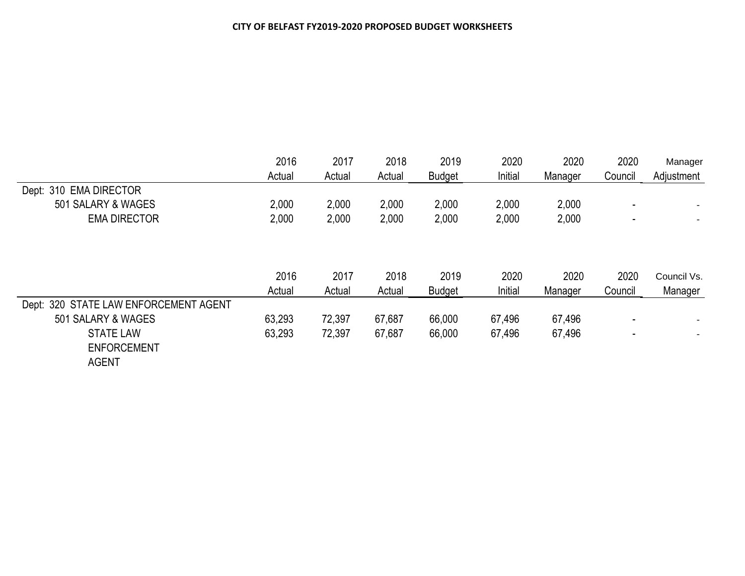|                                       | 2016   | 2017   | 2018   | 2019          | 2020    | 2020    | 2020    | Manager<br>Adjustment |
|---------------------------------------|--------|--------|--------|---------------|---------|---------|---------|-----------------------|
|                                       | Actual | Actual | Actual | <b>Budget</b> | Initial | Manager | Council |                       |
| Dept: 310 EMA DIRECTOR                |        |        |        |               |         |         |         |                       |
| 501 SALARY & WAGES                    | 2,000  | 2,000  | 2,000  | 2,000         | 2,000   | 2,000   | -       |                       |
| <b>EMA DIRECTOR</b>                   | 2,000  | 2,000  | 2,000  | 2,000         | 2,000   | 2,000   | -       |                       |
|                                       |        |        |        |               |         |         |         |                       |
|                                       | 2016   | 2017   | 2018   | 2019          | 2020    | 2020    | 2020    | Council Vs.           |
|                                       | Actual | Actual | Actual | <b>Budget</b> | Initial | Manager | Council | Manager               |
| Dept: 320 STATE LAW ENFORCEMENT AGENT |        |        |        |               |         |         |         |                       |
| 501 SALARY & WAGES                    | 63,293 | 72,397 | 67,687 | 66,000        | 67,496  | 67,496  |         |                       |
| <b>STATE LAW</b>                      | 63,293 | 72,397 | 67,687 | 66,000        | 67,496  | 67,496  |         |                       |
| <b>ENFORCEMENT</b>                    |        |        |        |               |         |         |         |                       |
| <b>AGENT</b>                          |        |        |        |               |         |         |         |                       |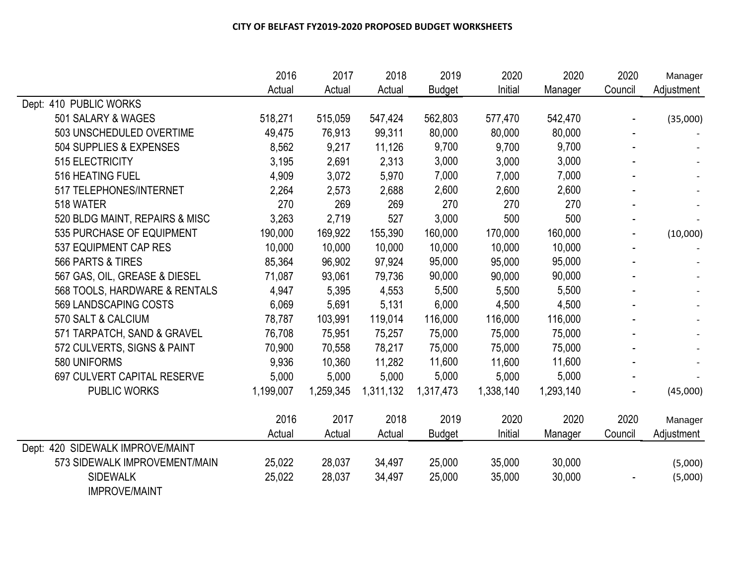|                                  | 2016      | 2017      | 2018      | 2019          | 2020      | 2020      | 2020    | Manager    |
|----------------------------------|-----------|-----------|-----------|---------------|-----------|-----------|---------|------------|
|                                  | Actual    | Actual    | Actual    | <b>Budget</b> | Initial   | Manager   | Council | Adjustment |
| Dept: 410 PUBLIC WORKS           |           |           |           |               |           |           |         |            |
| 501 SALARY & WAGES               | 518,271   | 515,059   | 547,424   | 562,803       | 577,470   | 542,470   |         | (35,000)   |
| 503 UNSCHEDULED OVERTIME         | 49,475    | 76,913    | 99,311    | 80,000        | 80,000    | 80,000    |         |            |
| 504 SUPPLIES & EXPENSES          | 8,562     | 9,217     | 11,126    | 9,700         | 9,700     | 9,700     |         |            |
| 515 ELECTRICITY                  | 3,195     | 2,691     | 2,313     | 3,000         | 3,000     | 3,000     |         |            |
| 516 HEATING FUEL                 | 4,909     | 3,072     | 5,970     | 7,000         | 7,000     | 7,000     |         |            |
| 517 TELEPHONES/INTERNET          | 2,264     | 2,573     | 2,688     | 2,600         | 2,600     | 2,600     |         |            |
| 518 WATER                        | 270       | 269       | 269       | 270           | 270       | 270       |         |            |
| 520 BLDG MAINT, REPAIRS & MISC   | 3,263     | 2,719     | 527       | 3,000         | 500       | 500       |         |            |
| 535 PURCHASE OF EQUIPMENT        | 190,000   | 169,922   | 155,390   | 160,000       | 170,000   | 160,000   |         | (10,000)   |
| 537 EQUIPMENT CAP RES            | 10,000    | 10,000    | 10,000    | 10,000        | 10,000    | 10,000    |         |            |
| 566 PARTS & TIRES                | 85,364    | 96,902    | 97,924    | 95,000        | 95,000    | 95,000    |         |            |
| 567 GAS, OIL, GREASE & DIESEL    | 71,087    | 93,061    | 79,736    | 90,000        | 90,000    | 90,000    |         |            |
| 568 TOOLS, HARDWARE & RENTALS    | 4,947     | 5,395     | 4,553     | 5,500         | 5,500     | 5,500     |         |            |
| 569 LANDSCAPING COSTS            | 6,069     | 5,691     | 5,131     | 6,000         | 4,500     | 4,500     |         |            |
| 570 SALT & CALCIUM               | 78,787    | 103,991   | 119,014   | 116,000       | 116,000   | 116,000   |         |            |
| 571 TARPATCH, SAND & GRAVEL      | 76,708    | 75,951    | 75,257    | 75,000        | 75,000    | 75,000    |         |            |
| 572 CULVERTS, SIGNS & PAINT      | 70,900    | 70,558    | 78,217    | 75,000        | 75,000    | 75,000    |         |            |
| 580 UNIFORMS                     | 9,936     | 10,360    | 11,282    | 11,600        | 11,600    | 11,600    |         |            |
| 697 CULVERT CAPITAL RESERVE      | 5,000     | 5,000     | 5,000     | 5,000         | 5,000     | 5,000     |         |            |
| <b>PUBLIC WORKS</b>              | 1,199,007 | 1,259,345 | 1,311,132 | 1,317,473     | 1,338,140 | 1,293,140 |         | (45,000)   |
|                                  | 2016      | 2017      | 2018      | 2019          | 2020      | 2020      | 2020    | Manager    |
|                                  | Actual    | Actual    | Actual    | <b>Budget</b> | Initial   | Manager   | Council | Adjustment |
| Dept: 420 SIDEWALK IMPROVE/MAINT |           |           |           |               |           |           |         |            |
| 573 SIDEWALK IMPROVEMENT/MAIN    | 25,022    | 28,037    | 34,497    | 25,000        | 35,000    | 30,000    |         | (5,000)    |
| <b>SIDEWALK</b>                  | 25,022    | 28,037    | 34,497    | 25,000        | 35,000    | 30,000    |         | (5,000)    |
| <b>IMPROVE/MAINT</b>             |           |           |           |               |           |           |         |            |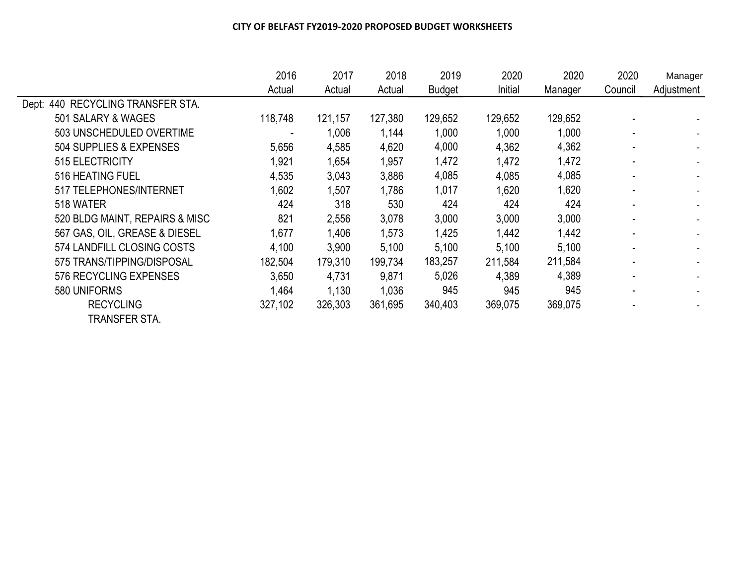|                                   | 2016    | 2017    | 2018    | 2019          | 2020    | 2020    | 2020    | Manager                  |
|-----------------------------------|---------|---------|---------|---------------|---------|---------|---------|--------------------------|
|                                   | Actual  | Actual  | Actual  | <b>Budget</b> | Initial | Manager | Council | Adjustment               |
| Dept: 440 RECYCLING TRANSFER STA. |         |         |         |               |         |         |         |                          |
| 501 SALARY & WAGES                | 118,748 | 121,157 | 127,380 | 129,652       | 129,652 | 129,652 |         |                          |
| 503 UNSCHEDULED OVERTIME          |         | 1,006   | 1,144   | 1,000         | 1,000   | 1,000   |         |                          |
| 504 SUPPLIES & EXPENSES           | 5,656   | 4,585   | 4,620   | 4,000         | 4,362   | 4,362   |         |                          |
| 515 ELECTRICITY                   | 1,921   | 1,654   | 1,957   | 1,472         | l,472   | 1,472   |         | $\overline{\phantom{0}}$ |
| 516 HEATING FUEL                  | 4,535   | 3,043   | 3,886   | 4,085         | 4,085   | 4,085   |         | $\overline{\phantom{0}}$ |
| 517 TELEPHONES/INTERNET           | 1,602   | 1,507   | 1,786   | 1,017         | 1,620   | 1,620   |         |                          |
| 518 WATER                         | 424     | 318     | 530     | 424           | 424     | 424     |         |                          |
| 520 BLDG MAINT, REPAIRS & MISC    | 821     | 2,556   | 3,078   | 3,000         | 3,000   | 3,000   |         |                          |
| 567 GAS, OIL, GREASE & DIESEL     | 1,677   | 1,406   | 1,573   | 1,425         | 1,442   | 1,442   |         |                          |
| 574 LANDFILL CLOSING COSTS        | 4,100   | 3,900   | 5,100   | 5,100         | 5,100   | 5,100   |         |                          |
| 575 TRANS/TIPPING/DISPOSAL        | 182,504 | 179,310 | 199,734 | 183,257       | 211,584 | 211,584 |         |                          |
| 576 RECYCLING EXPENSES            | 3,650   | 4,731   | 9,871   | 5,026         | 4,389   | 4,389   |         |                          |
| 580 UNIFORMS                      | 1,464   | 1,130   | 1,036   | 945           | 945     | 945     |         |                          |
| <b>RECYCLING</b>                  | 327,102 | 326,303 | 361,695 | 340,403       | 369,075 | 369,075 |         |                          |
| TRANSFER STA.                     |         |         |         |               |         |         |         |                          |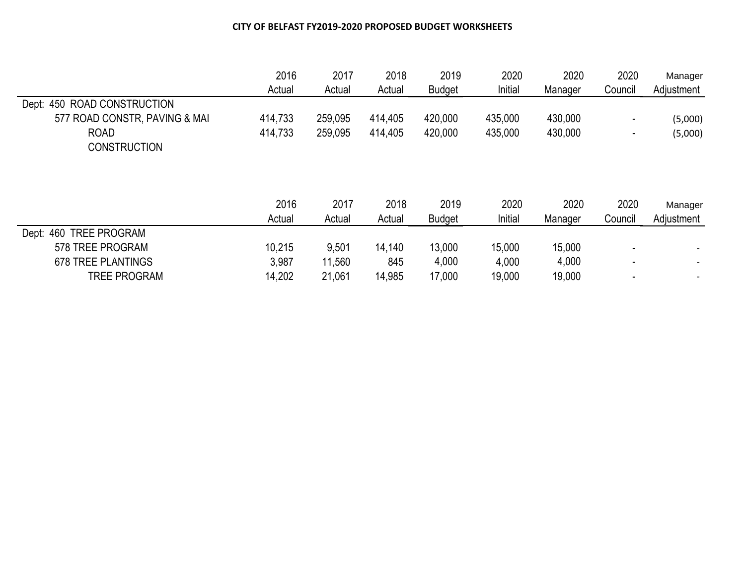|                                  | 2016           | 2017           | 2018           | 2019                  | 2020            | 2020            | 2020            | Manager               |
|----------------------------------|----------------|----------------|----------------|-----------------------|-----------------|-----------------|-----------------|-----------------------|
|                                  | Actual         | Actual         | Actual         | <b>Budget</b>         | Initial         | Manager         | Council         | Adjustment            |
| ROAD CONSTRUCTION<br>Dept: 450   |                |                |                |                       |                 |                 |                 |                       |
| 577 ROAD CONSTR, PAVING & MAI    | 414,733        | 259,095        | 414,405        | 420,000               | 435,000         | 430,000         | -               | (5,000)               |
| <b>ROAD</b>                      | 414,733        | 259,095        | 414,405        | 420,000               | 435,000         | 430,000         |                 | (5,000)               |
| <b>CONSTRUCTION</b>              |                |                |                |                       |                 |                 |                 |                       |
|                                  | 2016<br>Actual | 2017<br>Actual | 2018<br>Actual | 2019<br><b>Budget</b> | 2020<br>Initial | 2020<br>Manager | 2020<br>Council | Manager<br>Adjustment |
| Dept: 460<br><b>TREE PROGRAM</b> |                |                |                |                       |                 |                 |                 |                       |
| 578 TREE PROGRAM                 | 10,215         | 9,501          | 14,140         | 13,000                | 15,000          | 15,000          |                 |                       |
| <b>678 TREE PLANTINGS</b>        | 3,987          | 11,560         | 845            | 4,000                 | 4,000           | 4,000           |                 |                       |
| <b>TREE PROGRAM</b>              | 14,202         | 21,061         | 14,985         | 17,000                | 19,000          | 19,000          |                 |                       |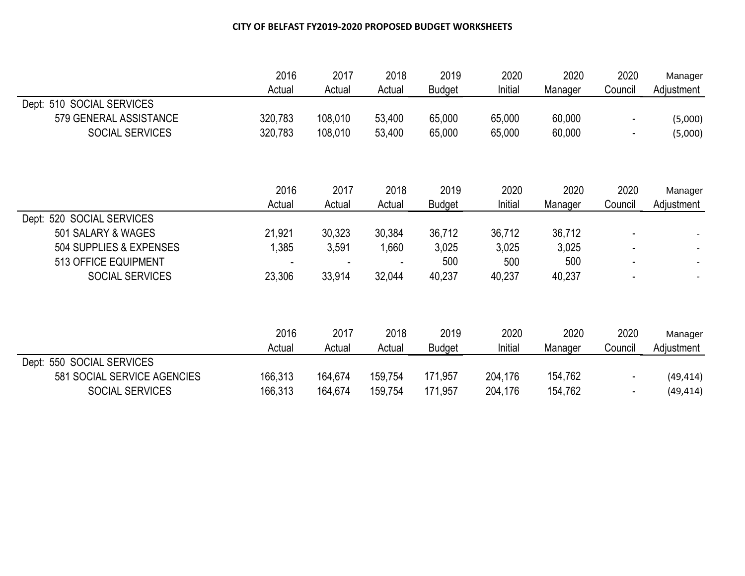|                             | 2016    | 2017    | 2018    | 2019          | 2020    | 2020    | 2020           | Manager    |
|-----------------------------|---------|---------|---------|---------------|---------|---------|----------------|------------|
|                             | Actual  | Actual  | Actual  | <b>Budget</b> | Initial | Manager | Council        | Adjustment |
| Dept: 510 SOCIAL SERVICES   |         |         |         |               |         |         |                |            |
| 579 GENERAL ASSISTANCE      | 320,783 | 108,010 | 53,400  | 65,000        | 65,000  | 60,000  |                | (5,000)    |
| SOCIAL SERVICES             | 320,783 | 108,010 | 53,400  | 65,000        | 65,000  | 60,000  | $\blacksquare$ | (5,000)    |
|                             |         |         |         |               |         |         |                |            |
|                             | 2016    | 2017    | 2018    | 2019          | 2020    | 2020    | 2020           | Manager    |
|                             | Actual  | Actual  | Actual  | <b>Budget</b> | Initial | Manager | Council        | Adjustment |
| Dept: 520 SOCIAL SERVICES   |         |         |         |               |         |         |                |            |
| 501 SALARY & WAGES          | 21,921  | 30,323  | 30,384  | 36,712        | 36,712  | 36,712  |                |            |
| 504 SUPPLIES & EXPENSES     | 1,385   | 3,591   | 1,660   | 3,025         | 3,025   | 3,025   |                |            |
| 513 OFFICE EQUIPMENT        |         |         |         | 500           | 500     | 500     |                |            |
| <b>SOCIAL SERVICES</b>      | 23,306  | 33,914  | 32,044  | 40,237        | 40,237  | 40,237  |                |            |
|                             |         |         |         |               |         |         |                |            |
|                             | 2016    | 2017    | 2018    | 2019          | 2020    | 2020    | 2020           | Manager    |
|                             | Actual  | Actual  | Actual  | <b>Budget</b> | Initial | Manager | Council        | Adjustment |
| Dept: 550 SOCIAL SERVICES   |         |         |         |               |         |         |                |            |
| 581 SOCIAL SERVICE AGENCIES | 166,313 | 164,674 | 159,754 | 171,957       | 204,176 | 154,762 |                | (49, 414)  |
| SOCIAL SERVICES             | 166,313 | 164,674 | 159,754 | 171,957       | 204,176 | 154,762 |                | (49, 414)  |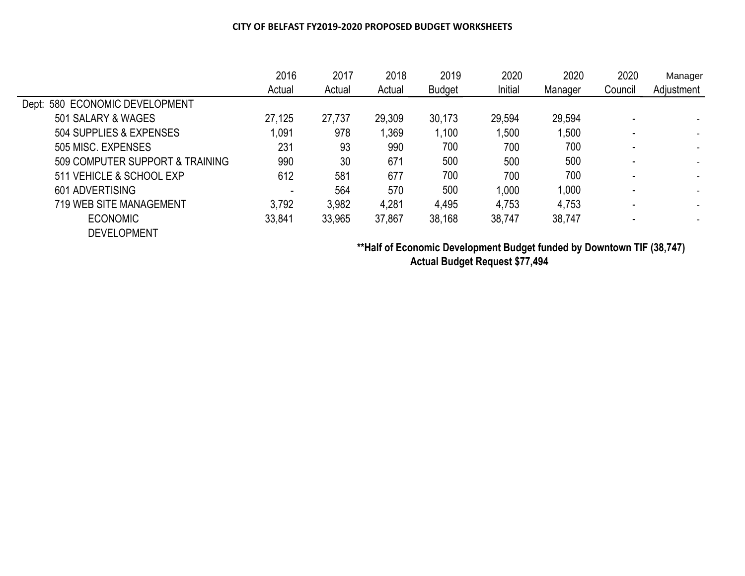|                                 | 2016   | 2017   | 2018   | 2019          | 2020    | 2020    | 2020<br>Council | Manager    |
|---------------------------------|--------|--------|--------|---------------|---------|---------|-----------------|------------|
|                                 | Actual | Actual | Actual | <b>Budget</b> | Initial | Manager |                 | Adjustment |
| Dept: 580 ECONOMIC DEVELOPMENT  |        |        |        |               |         |         |                 |            |
| 501 SALARY & WAGES              | 27,125 | 27,737 | 29,309 | 30,173        | 29,594  | 29,594  |                 |            |
| 504 SUPPLIES & EXPENSES         | 1,091  | 978    | 1,369  | 1,100         | 1,500   | 1,500   |                 |            |
| 505 MISC, EXPENSES              | 231    | 93     | 990    | 700           | 700     | 700     |                 |            |
| 509 COMPUTER SUPPORT & TRAINING | 990    | 30     | 671    | 500           | 500     | 500     |                 |            |
| 511 VEHICLE & SCHOOL EXP        | 612    | 581    | 677    | 700           | 700     | 700     |                 |            |
| 601 ADVERTISING                 |        | 564    | 570    | 500           | 1,000   | 1,000   |                 |            |
| <b>719 WEB SITE MANAGEMENT</b>  | 3,792  | 3,982  | 4,281  | 4,495         | 4,753   | 4,753   |                 |            |
| <b>ECONOMIC</b>                 | 33,841 | 33,965 | 37,867 | 38,168        | 38,747  | 38,747  |                 |            |
| <b>DEVELOPMENT</b>              |        |        |        |               |         |         |                 |            |

**\*\*Half of Economic Development Budget funded by Downtown TIF (38,747) Actual Budget Request \$77,494**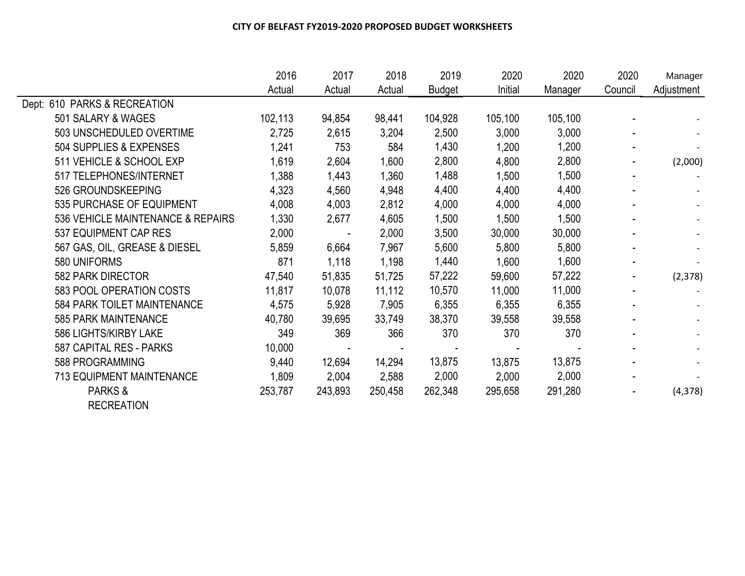|                                   | 2016    | 2017    | 2018    | 2019          | 2020    | 2020    | 2020           | Manager                  |
|-----------------------------------|---------|---------|---------|---------------|---------|---------|----------------|--------------------------|
|                                   | Actual  | Actual  | Actual  | <b>Budget</b> | Initial | Manager | Council        | Adjustment               |
| Dept: 610 PARKS & RECREATION      |         |         |         |               |         |         |                |                          |
| 501 SALARY & WAGES                | 102,113 | 94,854  | 98,441  | 104,928       | 105,100 | 105,100 |                |                          |
| 503 UNSCHEDULED OVERTIME          | 2,725   | 2,615   | 3,204   | 2,500         | 3,000   | 3,000   |                |                          |
| 504 SUPPLIES & EXPENSES           | 1,241   | 753     | 584     | 1,430         | 1,200   | 1,200   | $\sim$         |                          |
| 511 VEHICLE & SCHOOL EXP          | 1,619   | 2,604   | 1,600   | 2,800         | 4,800   | 2,800   | $\blacksquare$ | (2,000)                  |
| 517 TELEPHONES/INTERNET           | 1,388   | 1,443   | 1,360   | 1,488         | 1,500   | 1,500   | $\blacksquare$ |                          |
| 526 GROUNDSKEEPING                | 4,323   | 4,560   | 4,948   | 4,400         | 4,400   | 4,400   | $\blacksquare$ |                          |
| 535 PURCHASE OF EQUIPMENT         | 4,008   | 4,003   | 2,812   | 4,000         | 4,000   | 4,000   |                |                          |
| 536 VEHICLE MAINTENANCE & REPAIRS | 1,330   | 2,677   | 4,605   | 1,500         | 1,500   | 1,500   |                |                          |
| 537 EQUIPMENT CAP RES             | 2,000   |         | 2,000   | 3,500         | 30,000  | 30,000  |                |                          |
| 567 GAS, OIL, GREASE & DIESEL     | 5,859   | 6,664   | 7,967   | 5,600         | 5,800   | 5,800   |                | $\overline{\phantom{a}}$ |
| 580 UNIFORMS                      | 871     | 1,118   | 1,198   | 1,440         | 1,600   | 1,600   |                |                          |
| 582 PARK DIRECTOR                 | 47,540  | 51,835  | 51,725  | 57,222        | 59,600  | 57,222  | $\blacksquare$ | (2, 378)                 |
| 583 POOL OPERATION COSTS          | 11,817  | 10,078  | 11,112  | 10,570        | 11,000  | 11,000  | $\blacksquare$ |                          |
| 584 PARK TOILET MAINTENANCE       | 4,575   | 5,928   | 7,905   | 6,355         | 6,355   | 6,355   |                |                          |
| 585 PARK MAINTENANCE              | 40,780  | 39,695  | 33,749  | 38,370        | 39,558  | 39,558  |                |                          |
| 586 LIGHTS/KIRBY LAKE             | 349     | 369     | 366     | 370           | 370     | 370     |                |                          |
| 587 CAPITAL RES - PARKS           | 10,000  |         |         |               |         |         |                | $\overline{\phantom{a}}$ |
| 588 PROGRAMMING                   | 9,440   | 12,694  | 14,294  | 13,875        | 13,875  | 13,875  |                |                          |
| <b>713 EQUIPMENT MAINTENANCE</b>  | 1,809   | 2,004   | 2,588   | 2,000         | 2,000   | 2,000   | $\blacksquare$ | $\overline{\phantom{a}}$ |
| PARKS &                           | 253,787 | 243,893 | 250,458 | 262,348       | 295,658 | 291,280 | $\blacksquare$ | (4, 378)                 |
| <b>RECREATION</b>                 |         |         |         |               |         |         |                |                          |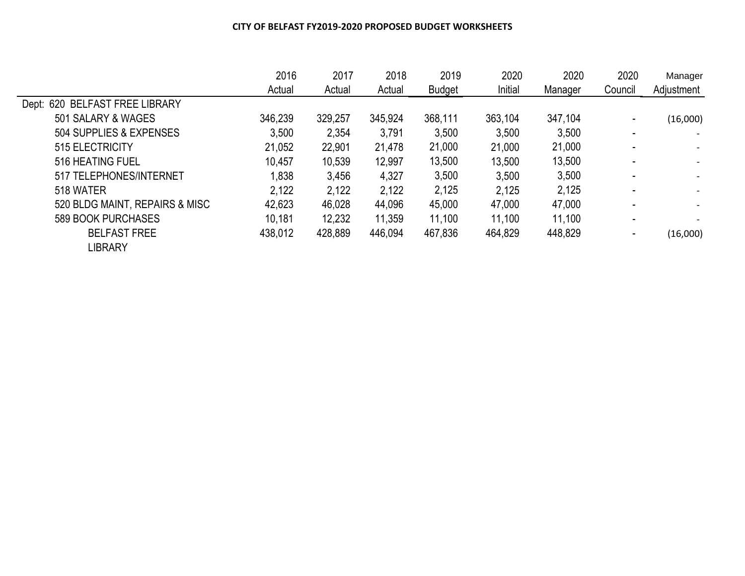|                                | 2016    | 2017    | 2018    | 2019          | 2020    | 2020    | 2020    | Manager    |
|--------------------------------|---------|---------|---------|---------------|---------|---------|---------|------------|
|                                | Actual  | Actual  | Actual  | <b>Budget</b> | Initial | Manager | Council | Adjustment |
| Dept: 620 BELFAST FREE LIBRARY |         |         |         |               |         |         |         |            |
| 501 SALARY & WAGES             | 346,239 | 329,257 | 345,924 | 368,111       | 363,104 | 347,104 |         | (16,000)   |
| 504 SUPPLIES & EXPENSES        | 3,500   | 2,354   | 3,791   | 3,500         | 3,500   | 3,500   |         |            |
| 515 ELECTRICITY                | 21,052  | 22,901  | 21,478  | 21,000        | 21,000  | 21,000  |         |            |
| 516 HEATING FUEL               | 10,457  | 10,539  | 12,997  | 13,500        | 13,500  | 13,500  |         |            |
| 517 TELEPHONES/INTERNET        | 1,838   | 3,456   | 4,327   | 3,500         | 3,500   | 3,500   |         |            |
| 518 WATER                      | 2,122   | 2,122   | 2,122   | 2,125         | 2,125   | 2,125   |         |            |
| 520 BLDG MAINT, REPAIRS & MISC | 42,623  | 46,028  | 44,096  | 45,000        | 47,000  | 47,000  |         |            |
| 589 BOOK PURCHASES             | 10,181  | 12,232  | 11,359  | 11,100        | 11,100  | 11,100  |         |            |
| <b>BELFAST FREE</b>            | 438,012 | 428,889 | 446,094 | 467,836       | 464,829 | 448,829 |         | (16,000)   |
| <b>LIBRARY</b>                 |         |         |         |               |         |         |         |            |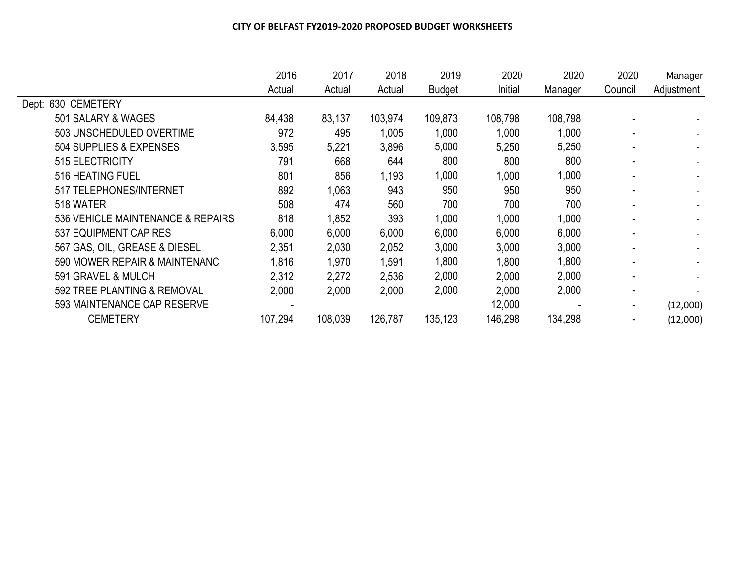|                                   | 2016    | 2017    | 2018    | 2019          | 2020    | 2020    | 2020    | Manager                  |
|-----------------------------------|---------|---------|---------|---------------|---------|---------|---------|--------------------------|
|                                   | Actual  | Actual  | Actual  | <b>Budget</b> | Initial | Manager | Council | Adjustment               |
| Dept: 630 CEMETERY                |         |         |         |               |         |         |         |                          |
| 501 SALARY & WAGES                | 84,438  | 83,137  | 103,974 | 109,873       | 108,798 | 108,798 |         |                          |
| 503 UNSCHEDULED OVERTIME          | 972     | 495     | 1,005   | 1,000         | 1,000   | 1,000   |         |                          |
| 504 SUPPLIES & EXPENSES           | 3,595   | 5,221   | 3,896   | 5,000         | 5,250   | 5,250   |         |                          |
| 515 ELECTRICITY                   | 791     | 668     | 644     | 800           | 800     | 800     |         |                          |
| 516 HEATING FUEL                  | 801     | 856     | 1,193   | 1,000         | 1,000   | 1,000   |         |                          |
| 517 TELEPHONES/INTERNET           | 892     | 1,063   | 943     | 950           | 950     | 950     |         |                          |
| 518 WATER                         | 508     | 474     | 560     | 700           | 700     | 700     |         |                          |
| 536 VEHICLE MAINTENANCE & REPAIRS | 818     | 1,852   | 393     | 1,000         | 1,000   | 1,000   |         |                          |
| 537 EQUIPMENT CAP RES             | 6,000   | 6,000   | 6,000   | 6,000         | 6,000   | 6,000   |         | $\overline{\phantom{0}}$ |
| 567 GAS, OIL, GREASE & DIESEL     | 2,351   | 2,030   | 2,052   | 3,000         | 3,000   | 3,000   |         |                          |
| 590 MOWER REPAIR & MAINTENANC     | 1,816   | 1,970   | 1,591   | 1,800         | 1,800   | 1,800   |         |                          |
| 591 GRAVEL & MULCH                | 2,312   | 2,272   | 2,536   | 2,000         | 2,000   | 2,000   |         |                          |
| 592 TREE PLANTING & REMOVAL       | 2,000   | 2,000   | 2,000   | 2,000         | 2,000   | 2,000   |         |                          |
| 593 MAINTENANCE CAP RESERVE       |         |         |         |               | 12,000  |         |         | (12,000)                 |
| <b>CEMETERY</b>                   | 107,294 | 108,039 | 126,787 | 135,123       | 146,298 | 134,298 |         | (12,000)                 |
|                                   |         |         |         |               |         |         |         |                          |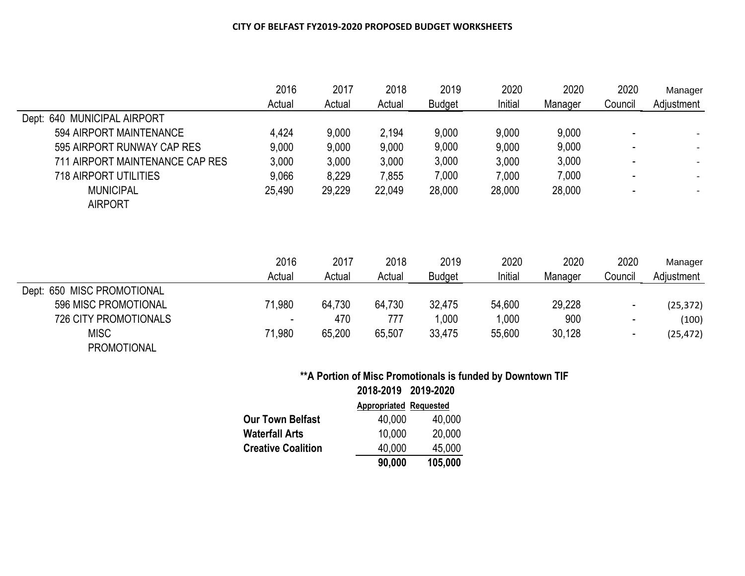|                                 | 2016   | 2017   | 2018   | 2019          | 2020    | 2020    | 2020    | Manager    |
|---------------------------------|--------|--------|--------|---------------|---------|---------|---------|------------|
|                                 | Actual | Actual | Actual | <b>Budget</b> | Initial | Manager | Council | Adjustment |
| Dept: 640 MUNICIPAL AIRPORT     |        |        |        |               |         |         |         |            |
| 594 AIRPORT MAINTENANCE         | 4,424  | 9,000  | 2,194  | 9,000         | 9,000   | 9,000   |         |            |
| 595 AIRPORT RUNWAY CAP RES      | 9,000  | 9,000  | 9,000  | 9,000         | 9,000   | 9,000   |         |            |
| 711 AIRPORT MAINTENANCE CAP RES | 3,000  | 3,000  | 3,000  | 3,000         | 3,000   | 3,000   |         |            |
| 718 AIRPORT UTILITIES           | 9,066  | 8,229  | 7,855  | 7,000         | 7,000   | 7,000   |         |            |
| <b>MUNICIPAL</b>                | 25,490 | 29,229 | 22,049 | 28,000        | 28,000  | 28,000  |         |            |
| <b>AIRPORT</b>                  |        |        |        |               |         |         |         |            |
|                                 |        |        |        |               |         |         |         |            |
|                                 |        |        |        |               |         |         |         |            |

|                            | 2016   | 2017   | 2018   | 2019          | 2020    | 2020    | 2020    | Manager    |
|----------------------------|--------|--------|--------|---------------|---------|---------|---------|------------|
|                            | Actual | Actual | Actual | <b>Budget</b> | Initial | Manager | Council | Adjustment |
| Dept: 650 MISC PROMOTIONAL |        |        |        |               |         |         |         |            |
| 596 MISC PROMOTIONAL       | 71,980 | 64,730 | 64,730 | 32,475        | 54,600  | 29,228  |         | (25, 372)  |
| 726 CITY PROMOTIONALS      | . .    | 470    | 777    | 000,          | 000,    | 900     |         | (100)      |
| <b>MISC</b>                | 71,980 | 65,200 | 65,507 | 33,475        | 55,600  | 30,128  |         | (25, 472)  |
| <b>PROMOTIONAL</b>         |        |        |        |               |         |         |         |            |

# **\*\*A Portion of Misc Promotionals is funded by Downtown TIF 2018-2019 2019-2020**

|                           | <b>Appropriated Requested</b> |         |
|---------------------------|-------------------------------|---------|
| Our Town Belfast          | 40,000                        | 40,000  |
| Waterfall Arts            | 10,000                        | 20,000  |
| <b>Creative Coalition</b> | 40,000                        | 45,000  |
|                           | 90,000                        | 105,000 |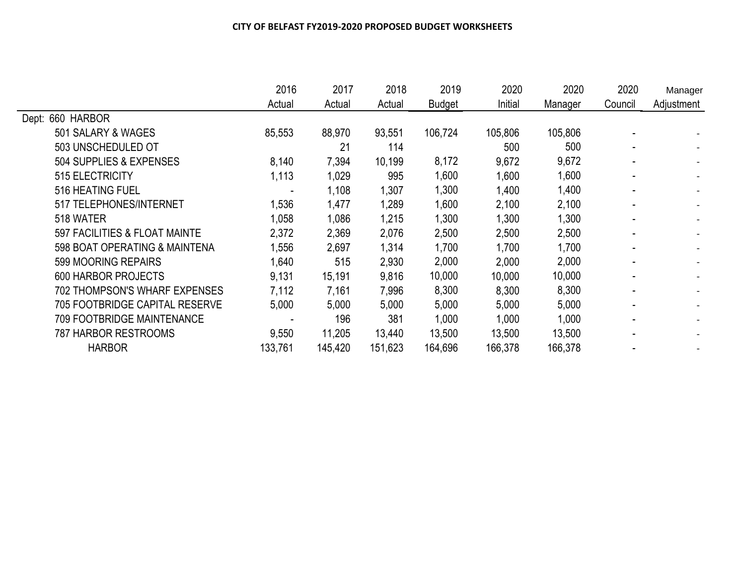|                                       | 2016    | 2017    | 2018    | 2019          | 2020    | 2020    | 2020    | Manager    |
|---------------------------------------|---------|---------|---------|---------------|---------|---------|---------|------------|
|                                       | Actual  | Actual  | Actual  | <b>Budget</b> | Initial | Manager | Council | Adjustment |
| Dept: 660 HARBOR                      |         |         |         |               |         |         |         |            |
| 501 SALARY & WAGES                    | 85,553  | 88,970  | 93,551  | 106,724       | 105,806 | 105,806 |         |            |
| 503 UNSCHEDULED OT                    |         | 21      | 114     |               | 500     | 500     |         |            |
| 504 SUPPLIES & EXPENSES               | 8,140   | 7,394   | 10,199  | 8,172         | 9,672   | 9,672   |         |            |
| 515 ELECTRICITY                       | 1,113   | 1,029   | 995     | 1,600         | 1,600   | 1,600   |         |            |
| 516 HEATING FUEL                      |         | 1,108   | 1,307   | 1,300         | ,400    | 1,400   |         |            |
| 517 TELEPHONES/INTERNET               | 1,536   | 1,477   | 1,289   | 1,600         | 2,100   | 2,100   |         |            |
| 518 WATER                             | 1,058   | 1,086   | 1,215   | 1,300         | ,300    | 1,300   |         |            |
| 597 FACILITIES & FLOAT MAINTE         | 2,372   | 2,369   | 2,076   | 2,500         | 2,500   | 2,500   |         |            |
| 598 BOAT OPERATING & MAINTENA         | 1,556   | 2,697   | 1,314   | 1,700         | 1,700   | 1,700   |         |            |
| 599 MOORING REPAIRS                   | 1,640   | 515     | 2,930   | 2,000         | 2,000   | 2,000   |         |            |
| <b>600 HARBOR PROJECTS</b>            | 9,131   | 15,191  | 9,816   | 10,000        | 10,000  | 10,000  |         |            |
| <b>702 THOMPSON'S WHARF EXPENSES</b>  | 7,112   | 7,161   | 7,996   | 8,300         | 8,300   | 8,300   |         |            |
| <b>705 FOOTBRIDGE CAPITAL RESERVE</b> | 5,000   | 5,000   | 5,000   | 5,000         | 5,000   | 5,000   |         |            |
| <b>709 FOOTBRIDGE MAINTENANCE</b>     |         | 196     | 381     | 1,000         | 1,000   | 1,000   |         |            |
| <b>787 HARBOR RESTROOMS</b>           | 9,550   | 11,205  | 13,440  | 13,500        | 13,500  | 13,500  |         |            |
| <b>HARBOR</b>                         | 133,761 | 145,420 | 151,623 | 164,696       | 166,378 | 166,378 |         |            |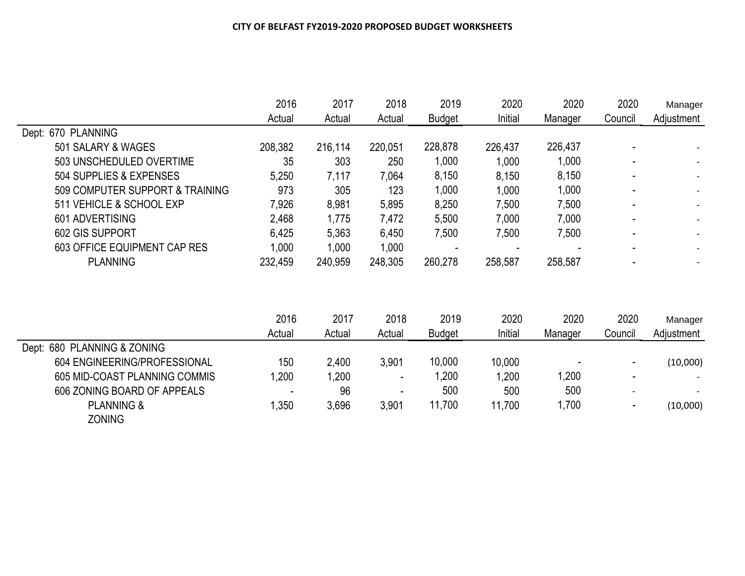|                                 | 2016    | 2017    | 2018    | 2019          | 2020    | 2020    | 2020    | Manager    |
|---------------------------------|---------|---------|---------|---------------|---------|---------|---------|------------|
|                                 | Actual  | Actual  | Actual  | <b>Budget</b> | Initial | Manager | Council | Adjustment |
| Dept: 670 PLANNING              |         |         |         |               |         |         |         |            |
| 501 SALARY & WAGES              | 208,382 | 216,114 | 220,051 | 228,878       | 226,437 | 226,437 |         |            |
| 503 UNSCHEDULED OVERTIME        | 35      | 303     | 250     | 1,000         | 1,000   | 1,000   |         |            |
| 504 SUPPLIES & EXPENSES         | 5,250   | 7,117   | 7,064   | 8,150         | 8,150   | 8,150   |         |            |
| 509 COMPUTER SUPPORT & TRAINING | 973     | 305     | 123     | 1,000         | 1,000   | 1,000   |         |            |
| 511 VEHICLE & SCHOOL EXP        | 7,926   | 8,981   | 5,895   | 8,250         | 7,500   | 7,500   |         |            |
| 601 ADVERTISING                 | 2,468   | 1,775   | 7,472   | 5,500         | 7,000   | 7,000   |         |            |
| 602 GIS SUPPORT                 | 6,425   | 5,363   | 6,450   | 7,500         | 7,500   | 7,500   |         |            |
| 603 OFFICE EQUIPMENT CAP RES    | 1,000   | 1,000   | 1,000   |               |         |         |         |            |
| <b>PLANNING</b>                 | 232,459 | 240,959 | 248,305 | 260,278       | 258,587 | 258,587 |         |            |

|                               | 2016<br>Actual | 2017   | 2018<br>Actual | 2019<br><b>Budget</b> | 2020<br>Initial | 2020<br>Manager | 2020<br>Council | Manager<br>Adjustment |
|-------------------------------|----------------|--------|----------------|-----------------------|-----------------|-----------------|-----------------|-----------------------|
|                               |                | Actual |                |                       |                 |                 |                 |                       |
| Dept: 680 PLANNING & ZONING   |                |        |                |                       |                 |                 |                 |                       |
| 604 ENGINEERING/PROFESSIONAL  | 150            | 2,400  | 3,901          | 10,000                | 10,000          |                 |                 | (10,000)              |
| 605 MID-COAST PLANNING COMMIS | ,200           | 200. ا | $\,$           | ,200                  | ,200            | 1,200           |                 |                       |
| 606 ZONING BOARD OF APPEALS   | $\,$           | 96     |                | 500                   | 500             | 500             |                 |                       |
| <b>PLANNING &amp;</b>         | .350           | 3,696  | 3,901          | 11.700                | 11,700          | 1,700           |                 | (10,000)              |
| ZONING                        |                |        |                |                       |                 |                 |                 |                       |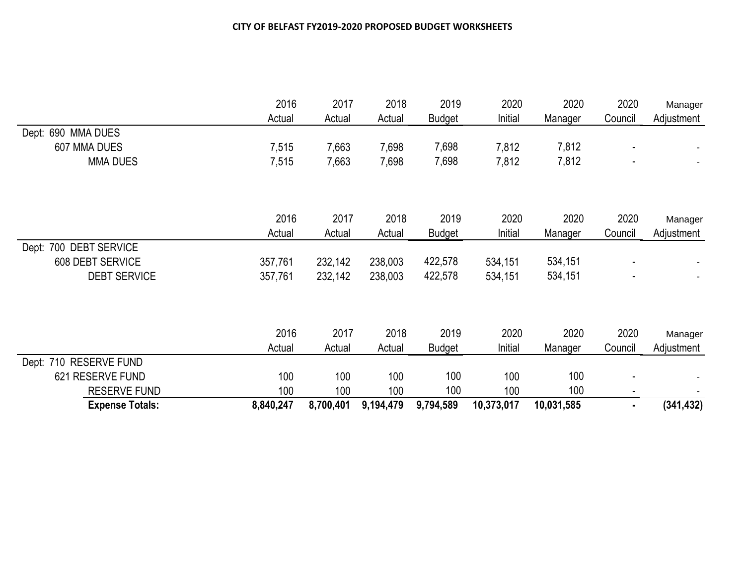|                        | 2016<br>Actual | 2017<br>Actual | 2018<br>Actual | 2019<br><b>Budget</b> | 2020<br>Initial | 2020<br>Manager | 2020<br>Council | Manager<br>Adjustment |
|------------------------|----------------|----------------|----------------|-----------------------|-----------------|-----------------|-----------------|-----------------------|
| Dept: 690 MMA DUES     |                |                |                |                       |                 |                 |                 |                       |
| 607 MMA DUES           | 7,515          | 7,663          | 7,698          | 7,698                 | 7,812           | 7,812           |                 |                       |
| <b>MMA DUES</b>        | 7,515          | 7,663          | 7,698          | 7,698                 | 7,812           | 7,812           |                 |                       |
|                        |                |                |                |                       |                 |                 |                 |                       |
|                        | 2016           | 2017           | 2018           | 2019                  | 2020            | 2020            | 2020            | Manager               |
|                        | Actual         | Actual         | Actual         | <b>Budget</b>         | Initial         | Manager         | Council         | Adjustment            |
| Dept: 700 DEBT SERVICE |                |                |                |                       |                 |                 |                 |                       |
| 608 DEBT SERVICE       | 357,761        | 232,142        | 238,003        | 422,578               | 534,151         | 534,151         |                 |                       |
| <b>DEBT SERVICE</b>    | 357,761        | 232,142        | 238,003        | 422,578               | 534,151         | 534,151         |                 |                       |
|                        |                |                |                |                       |                 |                 |                 |                       |
|                        | 2016           | 2017           | 2018           | 2019                  | 2020            | 2020            | 2020            | Manager               |
|                        | Actual         | Actual         | Actual         | <b>Budget</b>         | Initial         | Manager         | Council         | Adjustment            |
| Dept: 710 RESERVE FUND |                |                |                |                       |                 |                 |                 |                       |
| 621 RESERVE FUND       | 100            | 100            | 100            | 100                   | 100             | 100             |                 |                       |
| RESERVE FUND           | 100            | 100            | 100            | 100                   | 100             | 100             |                 |                       |
| <b>Expense Totals:</b> | 8,840,247      | 8,700,401      | 9,194,479      | 9,794,589             | 10,373,017      | 10,031,585      | ٠               | (341, 432)            |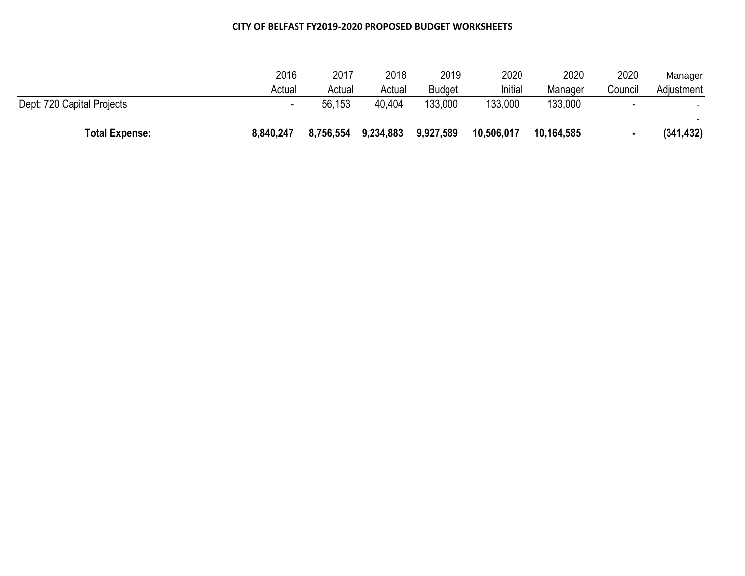| <b>Total Expense:</b>      | 8,840,247 | 8,756,554 | 9,234,883 | 9,927,589     | 10,506,017 | 10,164,585 |         | (341, 432) |
|----------------------------|-----------|-----------|-----------|---------------|------------|------------|---------|------------|
| Dept: 720 Capital Projects |           | 56,153    | 40.404    | 133,000       | 133,000    | 133,000    | -       |            |
|                            | Actual    | Actual    | Actual    | <b>Budget</b> | Initial    | Manager    | Council | Adjustment |
|                            | 2016      | 2017      | 2018      | 2019          | 2020       | 2020       | 2020    | Manager    |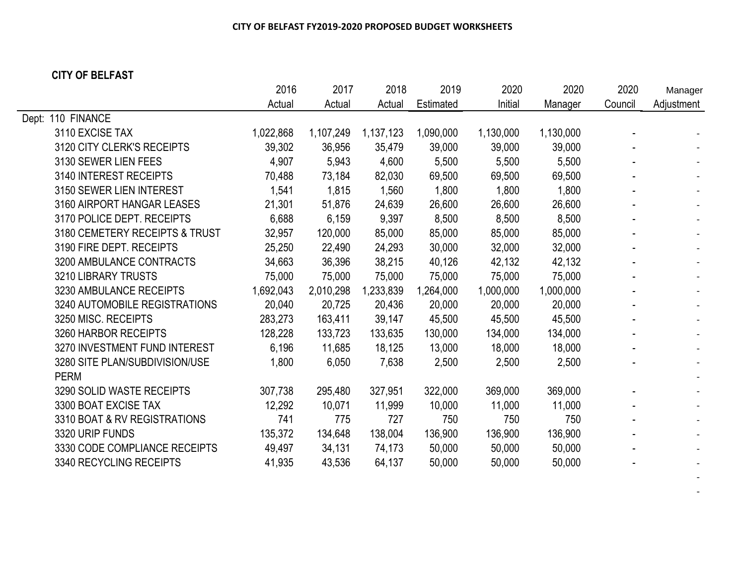## **CITY OF BELFAST**

|                                | 2016      | 2017      | 2018      | 2019      | 2020      | 2020      | 2020    | Manager    |
|--------------------------------|-----------|-----------|-----------|-----------|-----------|-----------|---------|------------|
|                                | Actual    | Actual    | Actual    | Estimated | Initial   | Manager   | Council | Adjustment |
| Dept: 110 FINANCE              |           |           |           |           |           |           |         |            |
| 3110 EXCISE TAX                | 1,022,868 | 1,107,249 | 1,137,123 | 1,090,000 | 1,130,000 | 1,130,000 |         |            |
| 3120 CITY CLERK'S RECEIPTS     | 39,302    | 36,956    | 35,479    | 39,000    | 39,000    | 39,000    |         |            |
| 3130 SEWER LIEN FEES           | 4,907     | 5,943     | 4,600     | 5,500     | 5,500     | 5,500     |         |            |
| 3140 INTEREST RECEIPTS         | 70,488    | 73,184    | 82,030    | 69,500    | 69,500    | 69,500    |         |            |
| 3150 SEWER LIEN INTEREST       | 1,541     | 1,815     | 1,560     | 1,800     | 1,800     | 1,800     |         |            |
| 3160 AIRPORT HANGAR LEASES     | 21,301    | 51,876    | 24,639    | 26,600    | 26,600    | 26,600    |         |            |
| 3170 POLICE DEPT. RECEIPTS     | 6,688     | 6,159     | 9,397     | 8,500     | 8,500     | 8,500     |         |            |
| 3180 CEMETERY RECEIPTS & TRUST | 32,957    | 120,000   | 85,000    | 85,000    | 85,000    | 85,000    |         |            |
| 3190 FIRE DEPT. RECEIPTS       | 25,250    | 22,490    | 24,293    | 30,000    | 32,000    | 32,000    |         |            |
| 3200 AMBULANCE CONTRACTS       | 34,663    | 36,396    | 38,215    | 40,126    | 42,132    | 42,132    |         |            |
| 3210 LIBRARY TRUSTS            | 75,000    | 75,000    | 75,000    | 75,000    | 75,000    | 75,000    |         |            |
| 3230 AMBULANCE RECEIPTS        | 1,692,043 | 2,010,298 | 1,233,839 | 1,264,000 | 1,000,000 | 1,000,000 |         |            |
| 3240 AUTOMOBILE REGISTRATIONS  | 20,040    | 20,725    | 20,436    | 20,000    | 20,000    | 20,000    |         |            |
| 3250 MISC. RECEIPTS            | 283,273   | 163,411   | 39,147    | 45,500    | 45,500    | 45,500    |         |            |
| 3260 HARBOR RECEIPTS           | 128,228   | 133,723   | 133,635   | 130,000   | 134,000   | 134,000   |         |            |
| 3270 INVESTMENT FUND INTEREST  | 6,196     | 11,685    | 18,125    | 13,000    | 18,000    | 18,000    |         |            |
| 3280 SITE PLAN/SUBDIVISION/USE | 1,800     | 6,050     | 7,638     | 2,500     | 2,500     | 2,500     |         |            |
| <b>PERM</b>                    |           |           |           |           |           |           |         |            |
| 3290 SOLID WASTE RECEIPTS      | 307,738   | 295,480   | 327,951   | 322,000   | 369,000   | 369,000   |         |            |
| 3300 BOAT EXCISE TAX           | 12,292    | 10,071    | 11,999    | 10,000    | 11,000    | 11,000    |         |            |
| 3310 BOAT & RV REGISTRATIONS   | 741       | 775       | 727       | 750       | 750       | 750       |         |            |
| 3320 URIP FUNDS                | 135,372   | 134,648   | 138,004   | 136,900   | 136,900   | 136,900   |         |            |
| 3330 CODE COMPLIANCE RECEIPTS  | 49,497    | 34,131    | 74,173    | 50,000    | 50,000    | 50,000    |         |            |
| 3340 RECYCLING RECEIPTS        | 41,935    | 43,536    | 64,137    | 50,000    | 50,000    | 50,000    |         |            |
|                                |           |           |           |           |           |           |         |            |

- 1990 - 1990 -- 1990 - 1990 -